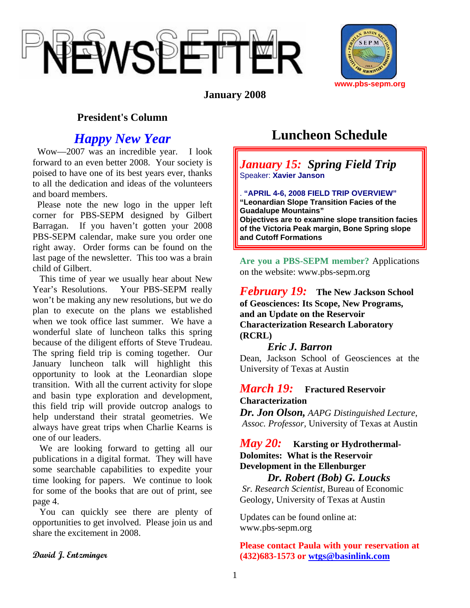



**January 2008** 

### **President's Column**

## *Happy New Year*

 Wow—2007 was an incredible year. I look forward to an even better 2008. Your society is poised to have one of its best years ever, thanks to all the dedication and ideas of the volunteers and board members.

 Please note the new logo in the upper left corner for PBS-SEPM designed by Gilbert Barragan. If you haven't gotten your 2008 PBS-SEPM calendar, make sure you order one right away. Order forms can be found on the last page of the newsletter. This too was a brain child of Gilbert.

 This time of year we usually hear about New Year's Resolutions. Your PBS-SEPM really won't be making any new resolutions, but we do plan to execute on the plans we established when we took office last summer. We have a wonderful slate of luncheon talks this spring because of the diligent efforts of Steve Trudeau. The spring field trip is coming together. Our January luncheon talk will highlight this opportunity to look at the Leonardian slope transition. With all the current activity for slope and basin type exploration and development, this field trip will provide outcrop analogs to help understand their stratal geometries. We always have great trips when Charlie Kearns is one of our leaders.

 We are looking forward to getting all our publications in a digital format. They will have some searchable capabilities to expedite your time looking for papers. We continue to look for some of the books that are out of print, see page 4.

 You can quickly see there are plenty of opportunities to get involved. Please join us and share the excitement in 2008.

# **Luncheon Schedule**

*January 15: Spring Field Trip*  Speaker: **Xavier Janson**

. **"APRIL 4-6, 2008 FIELD TRIP OVERVIEW" "Leonardian Slope Transition Facies of the Guadalupe Mountains" Objectives are to examine slope transition facies of the Victoria Peak margin, Bone Spring slope and Cutoff Formations** 

**Are you a PBS-SEPM member?** Applications on the website: www.pbs-sepm.org

*February 19:* **The New Jackson School of Geosciences: Its Scope, New Programs, and an Update on the Reservoir Characterization Research Laboratory (RCRL)**

### *Eric J. Barron*

Dean, Jackson School of Geosciences at the University of Texas at Austin

### *March 19:* **Fractured Reservoir Characterization**

*Dr. Jon Olson, AAPG Distinguished Lecture*,  *Assoc. Professor,* University of Texas at Austin

### *May 20:* **Karsting or Hydrothermal-Dolomites: What is the Reservoir Development in the Ellenburger**

*Dr. Robert (Bob) G. Loucks Sr. Research Scientist,* Bureau of Economic Geology*,* University of Texas at Austin

Updates can be found online at: www.pbs-sepm.org

#### **Please contact Paula with your reservation at (432)683-1573 or [wtgs@basinlink.com](mailto:wtgs@basinlink.com)**

**David J. Entzminger**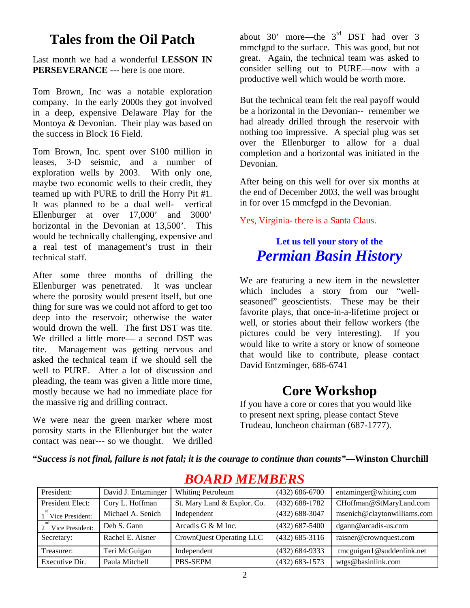# **Tales from the Oil Patch**

Last month we had a wonderful **LESSON IN PERSEVERANCE** --- here is one more.

Tom Brown, Inc was a notable exploration company. In the early 2000s they got involved in a deep, expensive Delaware Play for the Montoya & Devonian. Their play was based on the success in Block 16 Field.

Tom Brown, Inc. spent over \$100 million in leases, 3-D seismic, and a number of exploration wells by 2003. With only one, maybe two economic wells to their credit, they teamed up with PURE to drill the Horry Pit #1. It was planned to be a dual well- vertical Ellenburger at over 17,000' and 3000' horizontal in the Devonian at 13,500'. This would be technically challenging, expensive and a real test of management's trust in their technical staff.

After some three months of drilling the Ellenburger was penetrated. It was unclear where the porosity would present itself, but one thing for sure was we could not afford to get too deep into the reservoir; otherwise the water would drown the well. The first DST was tite. We drilled a little more— a second DST was tite. Management was getting nervous and asked the technical team if we should sell the well to PURE. After a lot of discussion and pleading, the team was given a little more time, mostly because we had no immediate place for the massive rig and drilling contract.

We were near the green marker where most porosity starts in the Ellenburger but the water contact was near--- so we thought. We drilled about 30' more—the  $3^{rd}$  DST had over 3 mmcfgpd to the surface. This was good, but not great. Again, the technical team was asked to consider selling out to PURE—now with a productive well which would be worth more.

But the technical team felt the real payoff would be a horizontal in the Devonian-- remember we had already drilled through the reservoir with nothing too impressive. A special plug was set over the Ellenburger to allow for a dual completion and a horizontal was initiated in the Devonian.

After being on this well for over six months at the end of December 2003, the well was brought in for over 15 mmcfgpd in the Devonian.

Yes, Virginia- there is a Santa Claus.

# **Let us tell your story of the**  *Permian Basin History*

We are featuring a new item in the newsletter which includes a story from our "wellseasoned" geoscientists. These may be their favorite plays, that once-in-a-lifetime project or well, or stories about their fellow workers (the pictures could be very interesting). If you would like to write a story or know of someone that would like to contribute, please contact David Entzminger, 686-6741

# **Core Workshop**

If you have a core or cores that you would like to present next spring, please contact Steve Trudeau, luncheon chairman (687-1777).

**"***Success is not final, failure is not fatal; it is the courage to continue than counts"***—Winston Churchill** 

| President:       | David J. Entzminger | Whiting Petroleum           | $(432)$ 686-6700 | entzminger@whiting.com           |
|------------------|---------------------|-----------------------------|------------------|----------------------------------|
| President Elect: | Cory L. Hoffman     | St. Mary Land & Explor. Co. | $(432)$ 688-1782 | CHoffman@StMaryLand.com          |
| Vice President:  | Michael A. Senich   | Independent                 | $(432)$ 688-3047 | msenich@claytonwilliams.com      |
| Vice President:  | Deb S. Gann         | Arcadis G & M Inc.          | $(432)$ 687-5400 | dgann@arcadis-us.com             |
| Secretary:       | Rachel E. Aisner    | CrownQuest Operating LLC    | $(432)$ 685-3116 | raisner@crownquest.com           |
| Treasurer:       | Teri McGuigan       | Independent                 | $(432)$ 684-9333 | $t$ mcguigan $1@$ suddenlink.net |
| Executive Dir.   | Paula Mitchell      | PBS-SEPM                    | $(432)$ 683-1573 | wtgs@basinlink.com               |

### *BOARD MEMBERS*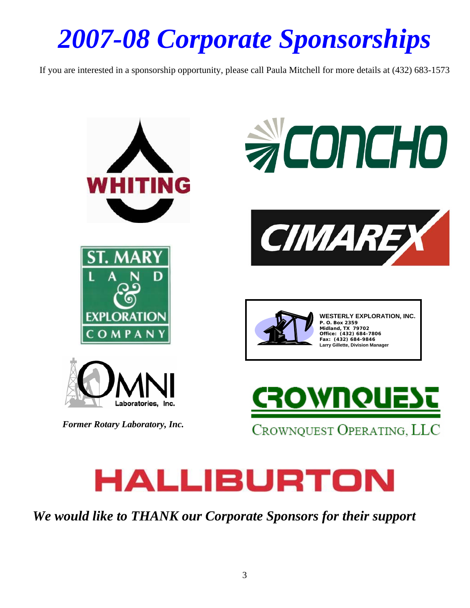# *2007-08 Corporate Sponsorships*

If you are interested in a sponsorship opportunity, please call Paula Mitchell for more details at (432) 683-1573





*We would like to THANK our Corporate Sponsors for their support*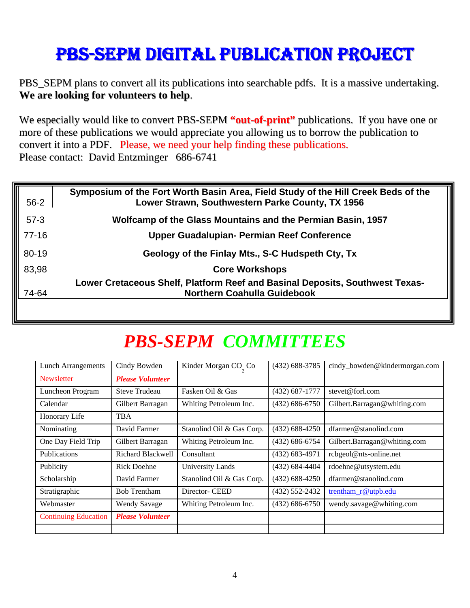# PBS-SEPM DIGITAL PUBLICATION PROJECT

PBS\_SEPM plans to convert all its publications into searchable pdfs. It is a massive undertaking. **We are looking for volunteers to help**.

We especially would like to convert PBS-SEPM **"out-of-print"** publications. If you have one or more of these publications we would appreciate you allowing us to borrow the publication to convert it into a PDF. Please, we need your help finding these publications. Please contact: David Entzminger 686-6741

| $56 - 2$ | Symposium of the Fort Worth Basin Area, Field Study of the Hill Creek Beds of the<br>Lower Strawn, Southwestern Parke County, TX 1956 |
|----------|---------------------------------------------------------------------------------------------------------------------------------------|
| $57-3$   | Wolfcamp of the Glass Mountains and the Permian Basin, 1957                                                                           |
| $77-16$  | Upper Guadalupian- Permian Reef Conference                                                                                            |
| 80-19    | Geology of the Finlay Mts., S-C Hudspeth Cty, Tx                                                                                      |
| 83,98    | <b>Core Workshops</b>                                                                                                                 |
| 74-64    | Lower Cretaceous Shelf, Platform Reef and Basinal Deposits, Southwest Texas-<br>Northern Coahulla Guidebook                           |

# *PBS-SEPM COMMITTEES*

| <b>Lunch Arrangements</b>   | Cindy Bowden             | Kinder Morgan CO Co       | $(432) 688 - 3785$ | cindy_bowden@kindermorgan.com |
|-----------------------------|--------------------------|---------------------------|--------------------|-------------------------------|
| Newsletter                  | <b>Please Volunteer</b>  |                           |                    |                               |
| Luncheon Program            | <b>Steve Trudeau</b>     | Fasken Oil & Gas          | $(432) 687 - 1777$ | stevet@forl.com               |
| Calendar                    | Gilbert Barragan         | Whiting Petroleum Inc.    | $(432) 686 - 6750$ | Gilbert.Barragan@whiting.com  |
| Honorary Life               | <b>TBA</b>               |                           |                    |                               |
| Nominating                  | David Farmer             | Stanolind Oil & Gas Corp. | $(432) 688 - 4250$ | dfarmer@stanolind.com         |
| One Day Field Trip          | Gilbert Barragan         | Whiting Petroleum Inc.    | $(432) 686 - 6754$ | Gilbert.Barragan@whiting.com  |
| Publications                | <b>Richard Blackwell</b> | Consultant                | $(432) 683 - 4971$ | rcbgeol@nts-online.net        |
| Publicity                   | <b>Rick Doehne</b>       | <b>University Lands</b>   | $(432) 684 - 4404$ | rdoehne@utsystem.edu          |
| Scholarship                 | David Farmer             | Stanolind Oil & Gas Corp. | $(432) 688 - 4250$ | dfarmer@stanolind.com         |
| Stratigraphic               | <b>Bob Trentham</b>      | Director- CEED            | $(432) 552 - 2432$ | trentham_r@utpb.edu           |
| Webmaster                   | <b>Wendy Savage</b>      | Whiting Petroleum Inc.    | $(432) 686 - 6750$ | wendy.savage@whiting.com      |
| <b>Continuing Education</b> | <b>Please Volunteer</b>  |                           |                    |                               |
|                             |                          |                           |                    |                               |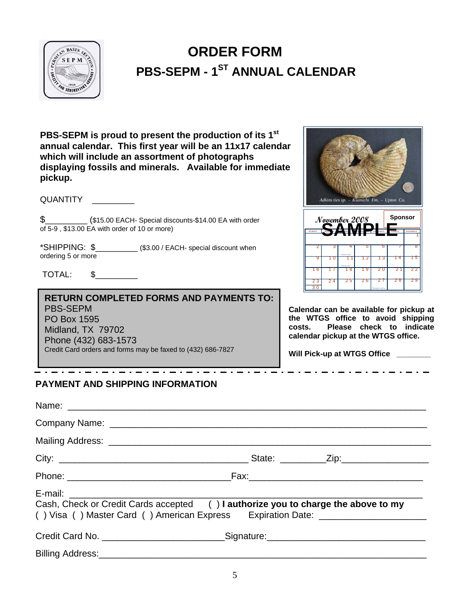

# **PBS-SEPM - 1<sup>ST</sup> ANNUAL CALENDAR ORDER FORM**

**PBS-SEPM is proud to present the production of its 1st annual calendar. This first year will be an 11x17 calendar which will include an assortment of photographs displaying fossils and minerals. Available for immediate pickup.**

QUANTITY \_\_\_\_\_\_\_\_\_

\$\_\_\_\_\_\_\_\_\_ (\$15.00 EACH- Special discounts-\$14.00 EA with order of 5-9 , \$13.00 EA with order of 10 or more)

\*SHIPPING: \$\_\_\_\_\_\_\_\_\_ (\$3.00 / EACH- special discount when ordering 5 or more

TOTAL: \$\_\_\_\_\_\_\_\_\_

**RETURN COMPLETED FORMS AND PAYMENTS TO:**  PBS-SEPM PO Box 1595 Midland, TX 79702 Phone (432) 683-1573 Credit Card orders and forms may be faxed to (432) 686-7827



**Calendar can be available for pickup at the WTGS office to avoid shipping costs. Please check to indicate calendar pickup at the WTGS office.** 

**Will Pick-up at WTGS Office \_\_\_\_\_\_\_\_** 

### **PAYMENT AND SHIPPING INFORMATION**

| Cash, Check or Credit Cards accepted () I authorize you to charge the above to my<br>() Visa () Master Card () American Express Expiration Date: ____________________ |  |
|-----------------------------------------------------------------------------------------------------------------------------------------------------------------------|--|
| Credit Card No. _______________________________Signature:________________________                                                                                     |  |
|                                                                                                                                                                       |  |